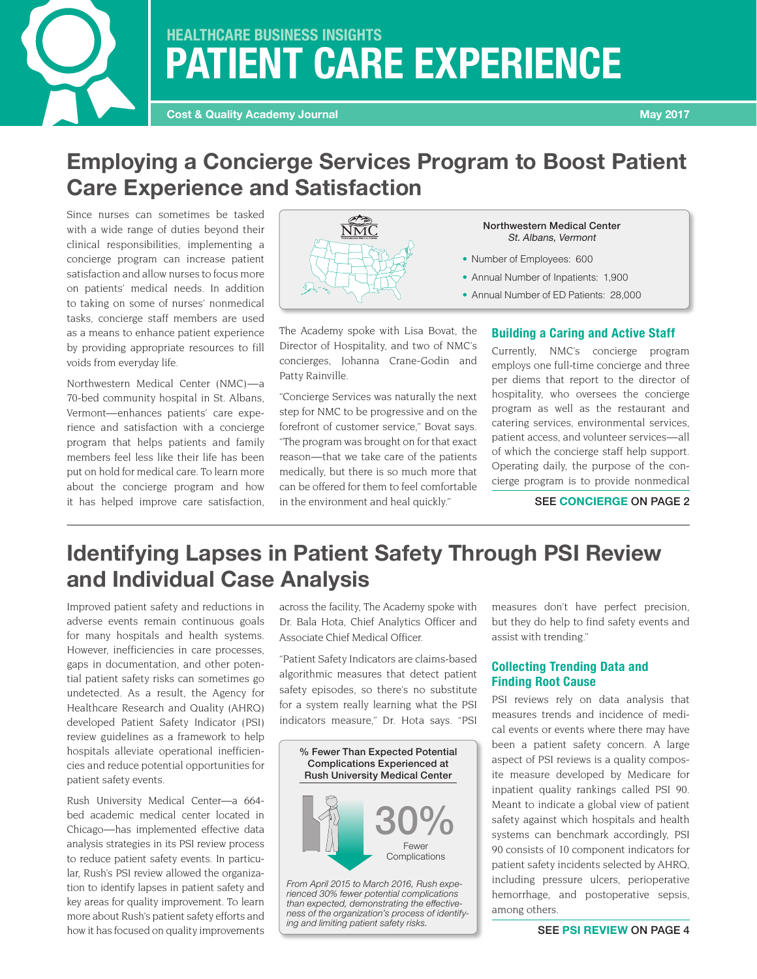# **PATIENT CARE EXPERIENCE HEALTHCARE BUSINESS INSIGHTS**

## **Employing a Concierge Services Program to Boost Patient Care Experience and Satisfaction**

Since nurses can sometimes be tasked with a wide range of duties beyond their clinical responsibilities, implementing a concierge program can increase patient satisfaction and allow nurses to focus more on patients' medical needs. In addition to taking on some of nurses' nonmedical tasks, concierge staff members are used as a means to enhance patient experience by providing appropriate resources to fill voids from everyday life.

Northwestern Medical Center (NMC)—a 70-bed community hospital in St. Albans, Vermont—enhances patients' care experience and satisfaction with a concierge program that helps patients and family members feel less like their life has been put on hold for medical care. To learn more about the concierge program and how it has helped improve care satisfaction,



The Academy spoke with Lisa Bovat, the Director of Hospitality, and two of NMC's concierges, Johanna Crane-Godin and Patty Rainville.

"Concierge Services was naturally the next step for NMC to be progressive and on the forefront of customer service," Bovat says. "The program was brought on for that exact reason—that we take care of the patients medically, but there is so much more that can be offered for them to feel comfortable in the environment and heal quickly."

#### Northwestern Medical Center St. Albans, Vermont

- Number of Employees: 600
- Annual Number of Inpatients: 1,900
- Annual Number of ED Patients: 28,000

### **Building a Caring and Active Staff**

Currently, NMC's concierge program employs one full-time concierge and three per diems that report to the director of hospitality, who oversees the concierge program as well as the restaurant and catering services, environmental services, patient access, and volunteer services—all of which the concierge staff help support. Operating daily, the purpose of the concierge program is to provide nonmedical

SEE **CONCIERGE** ON PAGE 2

# **Identifying Lapses in Patient Safety Through PSI Review and Individual Case Analysis**

Improved patient safety and reductions in adverse events remain continuous goals for many hospitals and health systems. However, inefficiencies in care processes, gaps in documentation, and other potential patient safety risks can sometimes go undetected. As a result, the Agency for Healthcare Research and Quality (AHRQ) developed Patient Safety Indicator (PSI) review guidelines as a framework to help hospitals alleviate operational inefficiencies and reduce potential opportunities for patient safety events.

Rush University Medical Center—a 664 bed academic medical center located in Chicago—has implemented effective data analysis strategies in its PSI review process to reduce patient safety events. In particular, Rush's PSI review allowed the organization to identify lapses in patient safety and key areas for quality improvement. To learn more about Rush's patient safety efforts and how it has focused on quality improvements

across the facility, The Academy spoke with Dr. Bala Hota, Chief Analytics Officer and Associate Chief Medical Officer.

"Patient Safety Indicators are claims-based algorithmic measures that detect patient safety episodes, so there's no substitute for a system really learning what the PSI indicators measure," Dr. Hota says. "PSI



*From April 2015 to March 2016, Rush experienced 30% fewer potential complications than expected, demonstrating the effectiveness of the organization's process of identifying and limiting patient safety risks.*

measures don't have perfect precision, but they do help to find safety events and assist with trending."

### **Collecting Trending Data and Finding Root Cause**

PSI reviews rely on data analysis that measures trends and incidence of medical events or events where there may have been a patient safety concern. A large aspect of PSI reviews is a quality composite measure developed by Medicare for inpatient quality rankings called PSI 90. Meant to indicate a global view of patient safety against which hospitals and health systems can benchmark accordingly, PSI 90 consists of 10 component indicators for patient safety incidents selected by AHRQ, including pressure ulcers, perioperative hemorrhage, and postoperative sepsis, among others.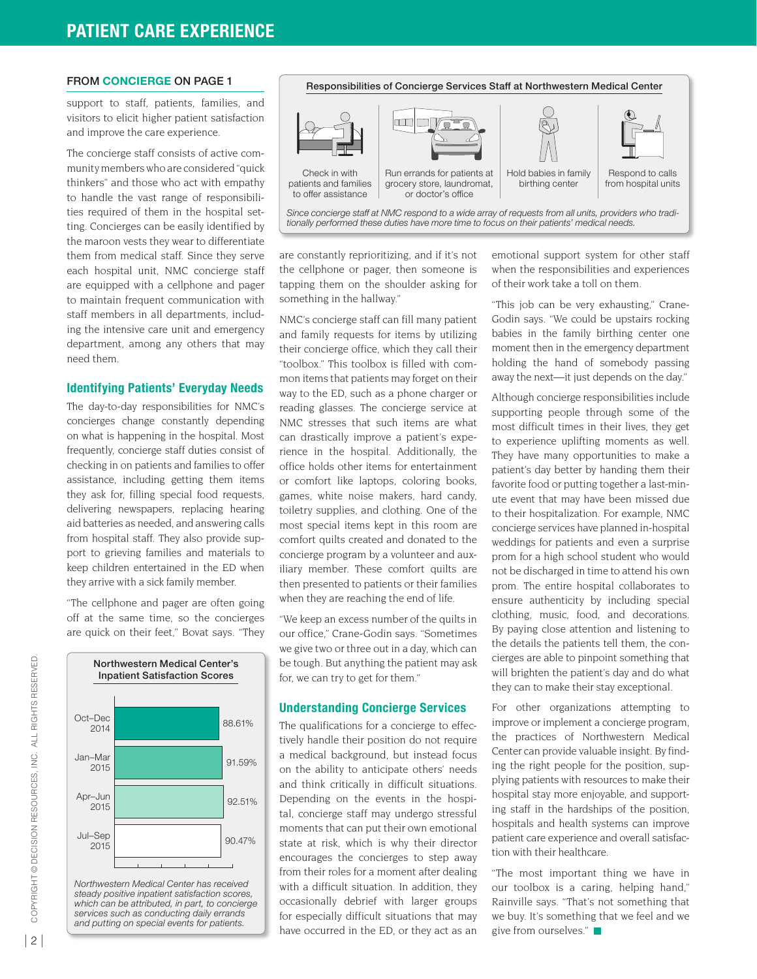#### FROM **CONCIERGE** ON PAGE 1

support to staff, patients, families, and visitors to elicit higher patient satisfaction and improve the care experience.

The concierge staff consists of active community members who are considered "quick thinkers" and those who act with empathy to handle the vast range of responsibilities required of them in the hospital setting. Concierges can be easily identified by the maroon vests they wear to differentiate them from medical staff. Since they serve each hospital unit, NMC concierge staff are equipped with a cellphone and pager to maintain frequent communication with staff members in all departments, including the intensive care unit and emergency department, among any others that may need them.

#### **Identifying Patients' Everyday Needs**

The day-to-day responsibilities for NMC's concierges change constantly depending on what is happening in the hospital. Most frequently, concierge staff duties consist of checking in on patients and families to offer assistance, including getting them items they ask for, filling special food requests, delivering newspapers, replacing hearing aid batteries as needed, and answering calls from hospital staff. They also provide support to grieving families and materials to keep children entertained in the ED when they arrive with a sick family member.

"The cellphone and pager are often going off at the same time, so the concierges are quick on their feet," Bovat says. "They



*Northwestern Medical Center has received steady positive inpatient satisfaction scores, which can be attributed, in part, to concierge services such as conducting daily errands and putting on special events for patients.*



are constantly reprioritizing, and if it's not the cellphone or pager, then someone is tapping them on the shoulder asking for something in the hallway."

NMC's concierge staff can fill many patient and family requests for items by utilizing their concierge office, which they call their "toolbox." This toolbox is filled with common items that patients may forget on their way to the ED, such as a phone charger or reading glasses. The concierge service at NMC stresses that such items are what can drastically improve a patient's experience in the hospital. Additionally, the office holds other items for entertainment or comfort like laptops, coloring books, games, white noise makers, hard candy, toiletry supplies, and clothing. One of the most special items kept in this room are comfort quilts created and donated to the concierge program by a volunteer and auxiliary member. These comfort quilts are then presented to patients or their families when they are reaching the end of life.

"We keep an excess number of the quilts in our office," Crane-Godin says. "Sometimes we give two or three out in a day, which can be tough. But anything the patient may ask for, we can try to get for them."

#### **Understanding Concierge Services**

The qualifications for a concierge to effectively handle their position do not require a medical background, but instead focus on the ability to anticipate others' needs and think critically in difficult situations. Depending on the events in the hospital, concierge staff may undergo stressful moments that can put their own emotional state at risk, which is why their director encourages the concierges to step away from their roles for a moment after dealing with a difficult situation. In addition, they occasionally debrief with larger groups for especially difficult situations that may have occurred in the ED, or they act as an emotional support system for other staff when the responsibilities and experiences of their work take a toll on them.

"This job can be very exhausting," Crane-Godin says. "We could be upstairs rocking babies in the family birthing center one moment then in the emergency department holding the hand of somebody passing away the next—it just depends on the day."

Although concierge responsibilities include supporting people through some of the most difficult times in their lives, they get to experience uplifting moments as well. They have many opportunities to make a patient's day better by handing them their favorite food or putting together a last-minute event that may have been missed due to their hospitalization. For example, NMC concierge services have planned in-hospital weddings for patients and even a surprise prom for a high school student who would not be discharged in time to attend his own prom. The entire hospital collaborates to ensure authenticity by including special clothing, music, food, and decorations. By paying close attention and listening to the details the patients tell them, the concierges are able to pinpoint something that will brighten the patient's day and do what they can to make their stay exceptional.

For other organizations attempting to improve or implement a concierge program, the practices of Northwestern Medical Center can provide valuable insight. By finding the right people for the position, supplying patients with resources to make their hospital stay more enjoyable, and supporting staff in the hardships of the position, hospitals and health systems can improve patient care experience and overall satisfaction with their healthcare.

"The most important thing we have in our toolbox is a caring, helping hand," Rainville says. "That's not something that we buy. It's something that we feel and we give from ourselves."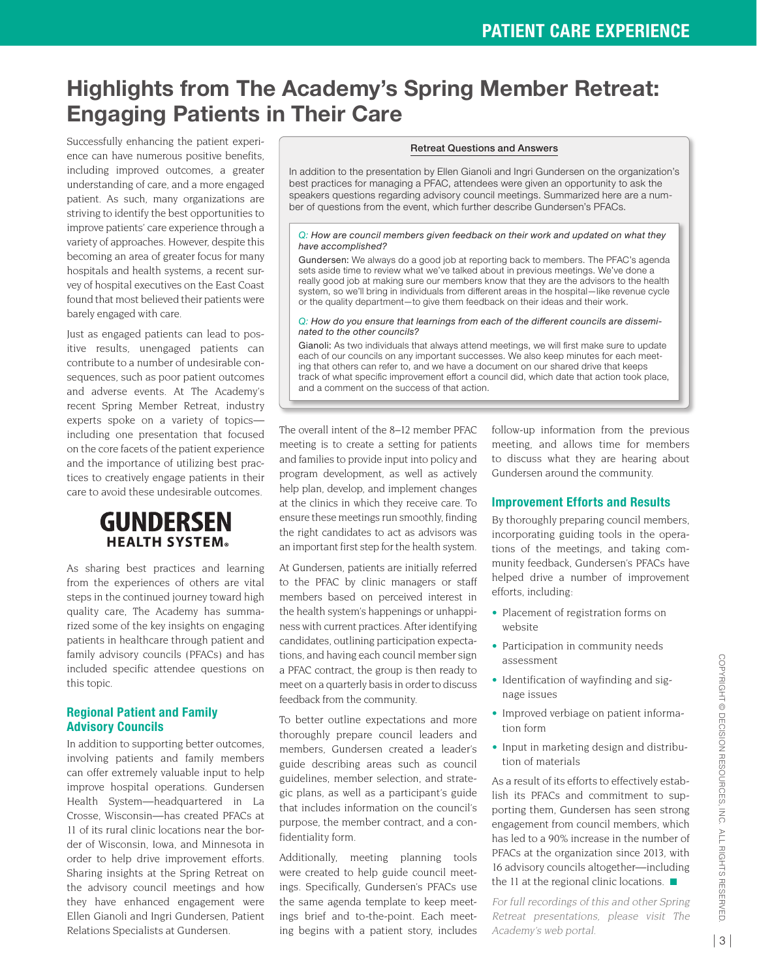## **Highlights from The Academy's Spring Member Retreat: Engaging Patients in Their Care**

Successfully enhancing the patient experience can have numerous positive benefits, including improved outcomes, a greater understanding of care, and a more engaged patient. As such, many organizations are striving to identify the best opportunities to improve patients' care experience through a variety of approaches. However, despite this becoming an area of greater focus for many hospitals and health systems, a recent survey of hospital executives on the East Coast found that most believed their patients were barely engaged with care.

Just as engaged patients can lead to positive results, unengaged patients can contribute to a number of undesirable consequences, such as poor patient outcomes and adverse events. At The Academy's recent Spring Member Retreat, industry experts spoke on a variety of topics including one presentation that focused on the core facets of the patient experience and the importance of utilizing best practices to creatively engage patients in their care to avoid these undesirable outcomes.

## **GUNDERSEN HEALTH SYSTEM®**

As sharing best practices and learning from the experiences of others are vital steps in the continued journey toward high quality care, The Academy has summarized some of the key insights on engaging patients in healthcare through patient and family advisory councils (PFACs) and has included specific attendee questions on this topic.

### **Regional Patient and Family Advisory Councils**

In addition to supporting better outcomes, involving patients and family members can offer extremely valuable input to help improve hospital operations. Gundersen Health System—headquartered in La Crosse, Wisconsin—has created PFACs at 11 of its rural clinic locations near the border of Wisconsin, Iowa, and Minnesota in order to help drive improvement efforts. Sharing insights at the Spring Retreat on the advisory council meetings and how they have enhanced engagement were Ellen Gianoli and Ingri Gundersen, Patient Relations Specialists at Gundersen.

#### Retreat Questions and Answers

In addition to the presentation by Ellen Gianoli and Ingri Gundersen on the organization's best practices for managing a PFAC, attendees were given an opportunity to ask the speakers questions regarding advisory council meetings. Summarized here are a number of questions from the event, which further describe Gundersen's PFACs.

#### *Q: How are council members given feedback on their work and updated on what they have accomplished?*

Gundersen: We always do a good job at reporting back to members. The PFAC's agenda sets aside time to review what we've talked about in previous meetings. We've done a really good job at making sure our members know that they are the advisors to the health system, so we'll bring in individuals from different areas in the hospital—like revenue cycle or the quality department—to give them feedback on their ideas and their work.

#### *Q: How do you ensure that learnings from each of the different councils are disseminated to the other councils?*

Gianoli: As two individuals that always attend meetings, we will first make sure to update each of our councils on any important successes. We also keep minutes for each meeting that others can refer to, and we have a document on our shared drive that keeps track of what specific improvement effort a council did, which date that action took place, and a comment on the success of that action.

The overall intent of the 8–12 member PFAC meeting is to create a setting for patients and families to provide input into policy and program development, as well as actively help plan, develop, and implement changes at the clinics in which they receive care. To ensure these meetings run smoothly, finding the right candidates to act as advisors was an important first step for the health system.

At Gundersen, patients are initially referred to the PFAC by clinic managers or staff members based on perceived interest in the health system's happenings or unhappiness with current practices. After identifying candidates, outlining participation expectations, and having each council member sign a PFAC contract, the group is then ready to meet on a quarterly basis in order to discuss feedback from the community.

To better outline expectations and more thoroughly prepare council leaders and members, Gundersen created a leader's guide describing areas such as council guidelines, member selection, and strategic plans, as well as a participant's guide that includes information on the council's purpose, the member contract, and a confidentiality form.

Additionally, meeting planning tools were created to help guide council meetings. Specifically, Gundersen's PFACs use the same agenda template to keep meetings brief and to-the-point. Each meeting begins with a patient story, includes follow-up information from the previous meeting, and allows time for members to discuss what they are hearing about Gundersen around the community.

#### **Improvement Efforts and Results**

By thoroughly preparing council members, incorporating guiding tools in the operations of the meetings, and taking community feedback, Gundersen's PFACs have helped drive a number of improvement efforts, including:

- Placement of registration forms on website
- Participation in community needs assessment
- Identification of wayfinding and signage issues
- Improved verbiage on patient information form
- Input in marketing design and distribution of materials

As a result of its efforts to effectively establish its PFACs and commitment to supporting them, Gundersen has seen strong engagement from council members, which has led to a 90% increase in the number of PFACs at the organization since 2013, with 16 advisory councils altogether—including the 11 at the regional clinic locations.  $\blacksquare$ 

For full recordings of this and other Spring Retreat presentations, please visit The Academy's web portal.